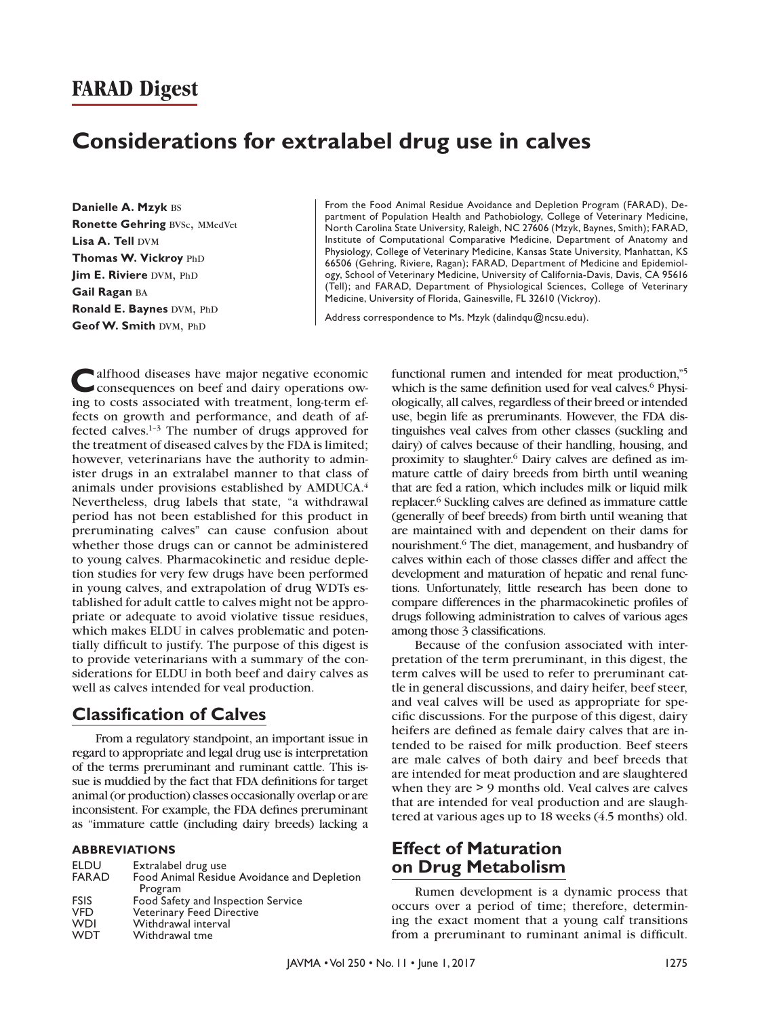# **Considerations for extralabel drug use in calves**

**Danielle A. Mzyk** bs **Ronette Gehring BVSc, MMedVet Lisa A. Tell DVM Thomas W. Vickroy PhD Jim E. Riviere DVM, PhD Gail Ragan** ba **Ronald E. Baynes DVM, PhD Geof W. Smith DVM, PhD** 

From the Food Animal Residue Avoidance and Depletion Program (FARAD), Department of Population Health and Pathobiology, College of Veterinary Medicine, North Carolina State University, Raleigh, NC 27606 (Mzyk, Baynes, Smith); FARAD, Institute of Computational Comparative Medicine, Department of Anatomy and Physiology, College of Veterinary Medicine, Kansas State University, Manhattan, KS 66506 (Gehring, Riviere, Ragan); FARAD, Department of Medicine and Epidemiology, School of Veterinary Medicine, University of California-Davis, Davis, CA 95616 (Tell); and FARAD, Department of Physiological Sciences, College of Veterinary Medicine, University of Florida, Gainesville, FL 32610 (Vickroy).

Address correspondence to Ms. Mzyk ([dalindqu@ncsu.edu\)](mailto:dalindqu@ncsu.edu).

alfhood diseases have major negative economic consequences on beef and dairy operations owing to costs associated with treatment, long-term effects on growth and performance, and death of affected calves.1–3 The number of drugs approved for the treatment of diseased calves by the FDA is limited; however, veterinarians have the authority to administer drugs in an extralabel manner to that class of animals under provisions established by AMDUCA.4 Nevertheless, drug labels that state, "a withdrawal period has not been established for this product in preruminating calves" can cause confusion about whether those drugs can or cannot be administered to young calves. Pharmacokinetic and residue depletion studies for very few drugs have been performed in young calves, and extrapolation of drug WDTs established for adult cattle to calves might not be appropriate or adequate to avoid violative tissue residues, which makes ELDU in calves problematic and potentially difficult to justify. The purpose of this digest is to provide veterinarians with a summary of the considerations for ELDU in both beef and dairy calves as well as calves intended for veal production.

### **Classification of Calves**

From a regulatory standpoint, an important issue in regard to appropriate and legal drug use is interpretation of the terms preruminant and ruminant cattle. This issue is muddied by the fact that FDA definitions for target animal (or production) classes occasionally overlap or are inconsistent. For example, the FDA defines preruminant as "immature cattle (including dairy breeds) lacking a

#### **ABBREVIATIONS**

| Food Animal Residue Avoidance and Depletion |
|---------------------------------------------|
|                                             |
|                                             |
|                                             |
|                                             |
|                                             |
|                                             |

functional rumen and intended for meat production,"5 which is the same definition used for veal calves.<sup>6</sup> Physiologically, all calves, regardless of their breed or intended use, begin life as preruminants. However, the FDA distinguishes veal calves from other classes (suckling and dairy) of calves because of their handling, housing, and proximity to slaughter.6 Dairy calves are defined as immature cattle of dairy breeds from birth until weaning that are fed a ration, which includes milk or liquid milk replacer.6 Suckling calves are defined as immature cattle (generally of beef breeds) from birth until weaning that are maintained with and dependent on their dams for nourishment.6 The diet, management, and husbandry of calves within each of those classes differ and affect the development and maturation of hepatic and renal functions. Unfortunately, little research has been done to compare differences in the pharmacokinetic profiles of drugs following administration to calves of various ages among those 3 classifications.

Because of the confusion associated with interpretation of the term preruminant, in this digest, the term calves will be used to refer to preruminant cattle in general discussions, and dairy heifer, beef steer, and veal calves will be used as appropriate for specific discussions. For the purpose of this digest, dairy heifers are defined as female dairy calves that are intended to be raised for milk production. Beef steers are male calves of both dairy and beef breeds that are intended for meat production and are slaughtered when they are > 9 months old. Veal calves are calves that are intended for veal production and are slaughtered at various ages up to 18 weeks (4.5 months) old.

### **Effect of Maturation on Drug Metabolism**

Rumen development is a dynamic process that occurs over a period of time; therefore, determining the exact moment that a young calf transitions from a preruminant to ruminant animal is difficult.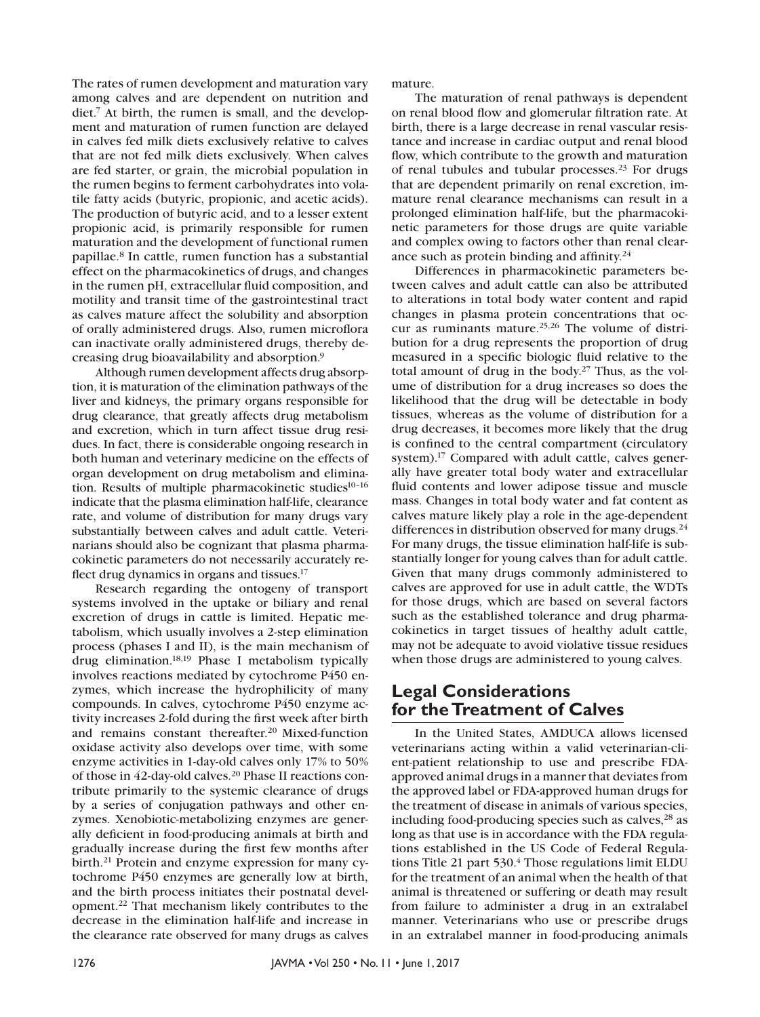The rates of rumen development and maturation vary among calves and are dependent on nutrition and diet.7 At birth, the rumen is small, and the development and maturation of rumen function are delayed in calves fed milk diets exclusively relative to calves that are not fed milk diets exclusively. When calves are fed starter, or grain, the microbial population in the rumen begins to ferment carbohydrates into volatile fatty acids (butyric, propionic, and acetic acids). The production of butyric acid, and to a lesser extent propionic acid, is primarily responsible for rumen maturation and the development of functional rumen papillae.8 In cattle, rumen function has a substantial effect on the pharmacokinetics of drugs, and changes in the rumen pH, extracellular fluid composition, and motility and transit time of the gastrointestinal tract as calves mature affect the solubility and absorption of orally administered drugs. Also, rumen microflora can inactivate orally administered drugs, thereby decreasing drug bioavailability and absorption.9

Although rumen development affects drug absorption, it is maturation of the elimination pathways of the liver and kidneys, the primary organs responsible for drug clearance, that greatly affects drug metabolism and excretion, which in turn affect tissue drug residues. In fact, there is considerable ongoing research in both human and veterinary medicine on the effects of organ development on drug metabolism and elimination. Results of multiple pharmacokinetic studies<sup>10-16</sup> indicate that the plasma elimination half-life, clearance rate, and volume of distribution for many drugs vary substantially between calves and adult cattle. Veterinarians should also be cognizant that plasma pharmacokinetic parameters do not necessarily accurately reflect drug dynamics in organs and tissues.17

Research regarding the ontogeny of transport systems involved in the uptake or biliary and renal excretion of drugs in cattle is limited. Hepatic metabolism, which usually involves a 2-step elimination process (phases I and II), is the main mechanism of drug elimination.18,19 Phase I metabolism typically involves reactions mediated by cytochrome P450 enzymes, which increase the hydrophilicity of many compounds. In calves, cytochrome P450 enzyme activity increases 2-fold during the first week after birth and remains constant thereafter.20 Mixed-function oxidase activity also develops over time, with some enzyme activities in 1-day-old calves only 17% to 50% of those in 42-day-old calves.20 Phase II reactions contribute primarily to the systemic clearance of drugs by a series of conjugation pathways and other enzymes. Xenobiotic-metabolizing enzymes are generally deficient in food-producing animals at birth and gradually increase during the first few months after birth.<sup>21</sup> Protein and enzyme expression for many cytochrome P450 enzymes are generally low at birth, and the birth process initiates their postnatal development.22 That mechanism likely contributes to the decrease in the elimination half-life and increase in the clearance rate observed for many drugs as calves mature.

The maturation of renal pathways is dependent on renal blood flow and glomerular filtration rate. At birth, there is a large decrease in renal vascular resistance and increase in cardiac output and renal blood flow, which contribute to the growth and maturation of renal tubules and tubular processes.<sup>23</sup> For drugs that are dependent primarily on renal excretion, immature renal clearance mechanisms can result in a prolonged elimination half-life, but the pharmacokinetic parameters for those drugs are quite variable and complex owing to factors other than renal clearance such as protein binding and affinity.24

Differences in pharmacokinetic parameters between calves and adult cattle can also be attributed to alterations in total body water content and rapid changes in plasma protein concentrations that occur as ruminants mature.<sup>25,26</sup> The volume of distribution for a drug represents the proportion of drug measured in a specific biologic fluid relative to the total amount of drug in the body.<sup>27</sup> Thus, as the volume of distribution for a drug increases so does the likelihood that the drug will be detectable in body tissues, whereas as the volume of distribution for a drug decreases, it becomes more likely that the drug is confined to the central compartment (circulatory system).17 Compared with adult cattle, calves generally have greater total body water and extracellular fluid contents and lower adipose tissue and muscle mass. Changes in total body water and fat content as calves mature likely play a role in the age-dependent differences in distribution observed for many drugs.<sup>24</sup> For many drugs, the tissue elimination half-life is substantially longer for young calves than for adult cattle. Given that many drugs commonly administered to calves are approved for use in adult cattle, the WDTs for those drugs, which are based on several factors such as the established tolerance and drug pharmacokinetics in target tissues of healthy adult cattle, may not be adequate to avoid violative tissue residues when those drugs are administered to young calves.

## **Legal Considerations for the Treatment of Calves**

In the United States, AMDUCA allows licensed veterinarians acting within a valid veterinarian-client-patient relationship to use and prescribe FDAapproved animal drugs in a manner that deviates from the approved label or FDA-approved human drugs for the treatment of disease in animals of various species, including food-producing species such as calves, $^{28}$  as long as that use is in accordance with the FDA regulations established in the US Code of Federal Regulations Title 21 part  $530<sup>4</sup>$  Those regulations limit ELDU for the treatment of an animal when the health of that animal is threatened or suffering or death may result from failure to administer a drug in an extralabel manner. Veterinarians who use or prescribe drugs in an extralabel manner in food-producing animals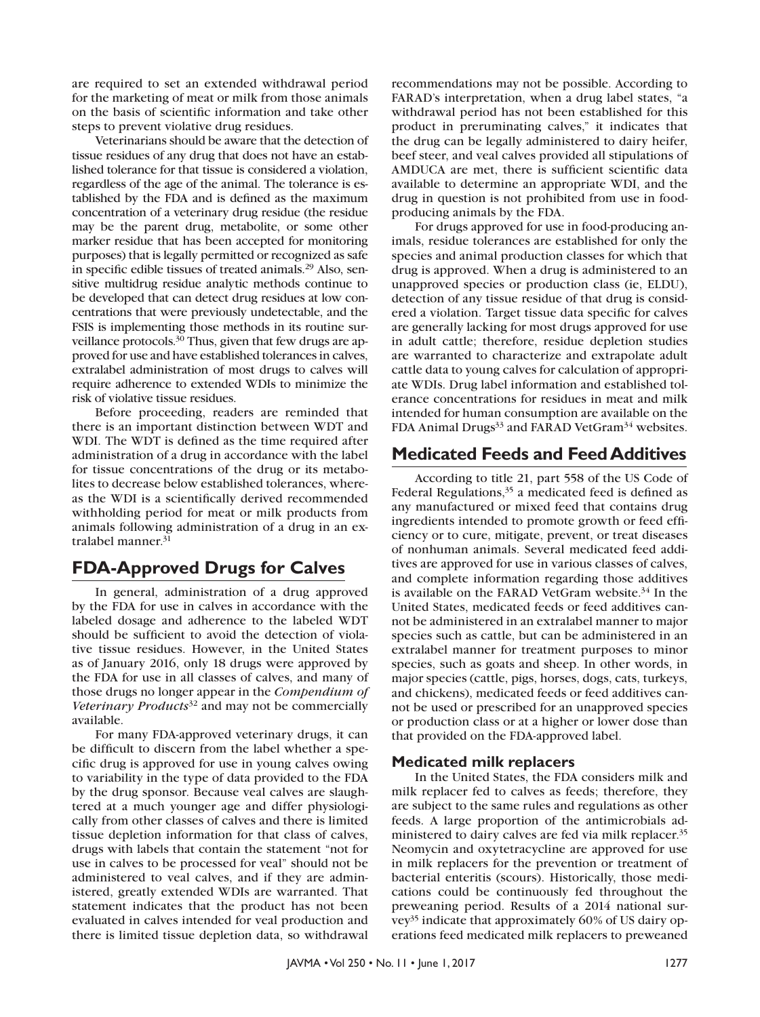are required to set an extended withdrawal period for the marketing of meat or milk from those animals on the basis of scientific information and take other steps to prevent violative drug residues.

Veterinarians should be aware that the detection of tissue residues of any drug that does not have an established tolerance for that tissue is considered a violation, regardless of the age of the animal. The tolerance is established by the FDA and is defined as the maximum concentration of a veterinary drug residue (the residue may be the parent drug, metabolite, or some other marker residue that has been accepted for monitoring purposes) that is legally permitted or recognized as safe in specific edible tissues of treated animals.29 Also, sensitive multidrug residue analytic methods continue to be developed that can detect drug residues at low concentrations that were previously undetectable, and the FSIS is implementing those methods in its routine surveillance protocols.30 Thus, given that few drugs are approved for use and have established tolerances in calves, extralabel administration of most drugs to calves will require adherence to extended WDIs to minimize the risk of violative tissue residues.

Before proceeding, readers are reminded that there is an important distinction between WDT and WDI. The WDT is defined as the time required after administration of a drug in accordance with the label for tissue concentrations of the drug or its metabolites to decrease below established tolerances, whereas the WDI is a scientifically derived recommended withholding period for meat or milk products from animals following administration of a drug in an extralabel manner.<sup>31</sup>

## **FDA-Approved Drugs for Calves**

In general, administration of a drug approved by the FDA for use in calves in accordance with the labeled dosage and adherence to the labeled WDT should be sufficient to avoid the detection of violative tissue residues. However, in the United States as of January 2016, only 18 drugs were approved by the FDA for use in all classes of calves, and many of those drugs no longer appear in the *Compendium of Veterinary Products*32 and may not be commercially available.

For many FDA-approved veterinary drugs, it can be difficult to discern from the label whether a specific drug is approved for use in young calves owing to variability in the type of data provided to the FDA by the drug sponsor. Because veal calves are slaughtered at a much younger age and differ physiologically from other classes of calves and there is limited tissue depletion information for that class of calves, drugs with labels that contain the statement "not for use in calves to be processed for veal" should not be administered to veal calves, and if they are administered, greatly extended WDIs are warranted. That statement indicates that the product has not been evaluated in calves intended for veal production and there is limited tissue depletion data, so withdrawal

recommendations may not be possible. According to FARAD's interpretation, when a drug label states, "a withdrawal period has not been established for this product in preruminating calves," it indicates that the drug can be legally administered to dairy heifer, beef steer, and veal calves provided all stipulations of AMDUCA are met, there is sufficient scientific data available to determine an appropriate WDI, and the drug in question is not prohibited from use in foodproducing animals by the FDA.

For drugs approved for use in food-producing animals, residue tolerances are established for only the species and animal production classes for which that drug is approved. When a drug is administered to an unapproved species or production class (ie, ELDU), detection of any tissue residue of that drug is considered a violation. Target tissue data specific for calves are generally lacking for most drugs approved for use in adult cattle; therefore, residue depletion studies are warranted to characterize and extrapolate adult cattle data to young calves for calculation of appropriate WDIs. Drug label information and established tolerance concentrations for residues in meat and milk intended for human consumption are available on the FDA Animal Drugs<sup>33</sup> and FARAD VetGram<sup>34</sup> websites.

## **Medicated Feeds and Feed Additives**

According to title 21, part 558 of the US Code of Federal Regulations, $35$  a medicated feed is defined as any manufactured or mixed feed that contains drug ingredients intended to promote growth or feed efficiency or to cure, mitigate, prevent, or treat diseases of nonhuman animals. Several medicated feed additives are approved for use in various classes of calves, and complete information regarding those additives is available on the FARAD VetGram website.<sup>34</sup> In the United States, medicated feeds or feed additives cannot be administered in an extralabel manner to major species such as cattle, but can be administered in an extralabel manner for treatment purposes to minor species, such as goats and sheep. In other words, in major species (cattle, pigs, horses, dogs, cats, turkeys, and chickens), medicated feeds or feed additives cannot be used or prescribed for an unapproved species or production class or at a higher or lower dose than that provided on the FDA-approved label.

### **Medicated milk replacers**

In the United States, the FDA considers milk and milk replacer fed to calves as feeds; therefore, they are subject to the same rules and regulations as other feeds. A large proportion of the antimicrobials administered to dairy calves are fed via milk replacer.<sup>35</sup> Neomycin and oxytetracycline are approved for use in milk replacers for the prevention or treatment of bacterial enteritis (scours). Historically, those medications could be continuously fed throughout the preweaning period. Results of a 2014 national survey35 indicate that approximately 60% of US dairy operations feed medicated milk replacers to preweaned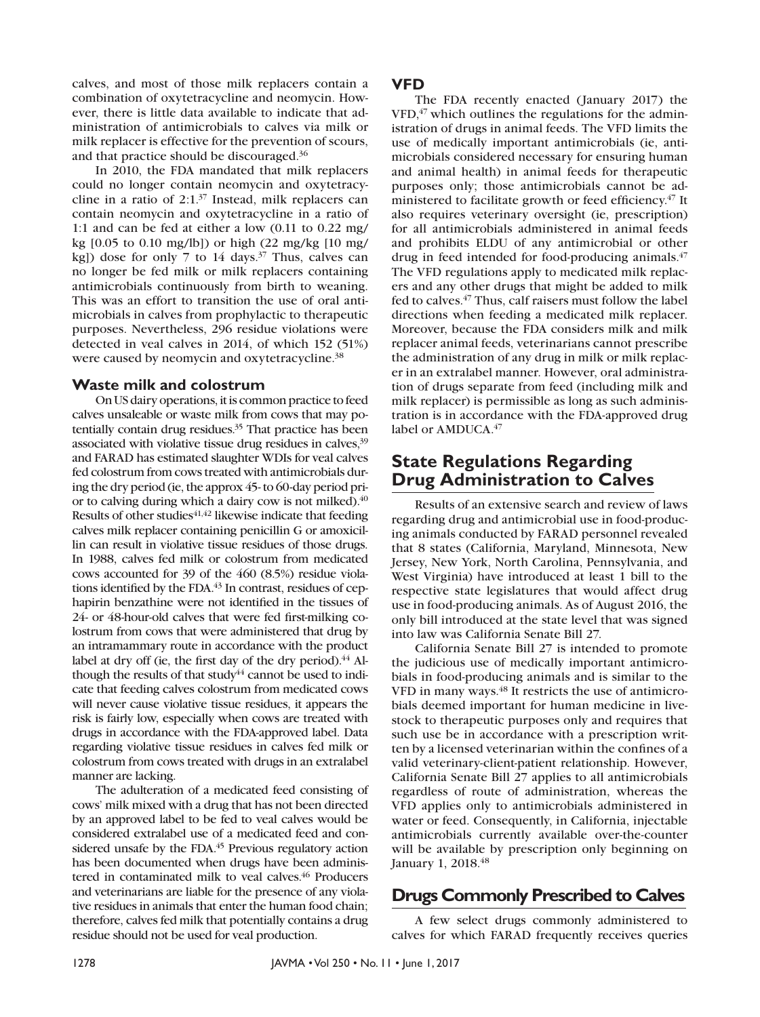calves, and most of those milk replacers contain a combination of oxytetracycline and neomycin. However, there is little data available to indicate that administration of antimicrobials to calves via milk or milk replacer is effective for the prevention of scours, and that practice should be discouraged.36

In 2010, the FDA mandated that milk replacers could no longer contain neomycin and oxytetracycline in a ratio of 2:1.37 Instead, milk replacers can contain neomycin and oxytetracycline in a ratio of 1:1 and can be fed at either a low (0.11 to 0.22 mg/ kg [0.05 to 0.10 mg/lb]) or high (22 mg/kg [10 mg/ kg]) dose for only 7 to 14 days.<sup>37</sup> Thus, calves can no longer be fed milk or milk replacers containing antimicrobials continuously from birth to weaning. This was an effort to transition the use of oral antimicrobials in calves from prophylactic to therapeutic purposes. Nevertheless, 296 residue violations were detected in veal calves in 2014, of which 152 (51%) were caused by neomycin and oxytetracycline.<sup>38</sup>

#### **Waste milk and colostrum**

On US dairy operations, it is common practice to feed calves unsaleable or waste milk from cows that may potentially contain drug residues.<sup>35</sup> That practice has been associated with violative tissue drug residues in calves, <sup>39</sup> and FARAD has estimated slaughter WDIs for veal calves fed colostrum from cows treated with antimicrobials during the dry period (ie, the approx 45- to 60-day period prior to calving during which a dairy cow is not milked).<sup>40</sup> Results of other studies $41,42$  likewise indicate that feeding calves milk replacer containing penicillin G or amoxicillin can result in violative tissue residues of those drugs. In 1988, calves fed milk or colostrum from medicated cows accounted for 39 of the 460 (8.5%) residue violations identified by the FDA.<sup>43</sup> In contrast, residues of cephapirin benzathine were not identified in the tissues of 24- or 48-hour-old calves that were fed first-milking colostrum from cows that were administered that drug by an intramammary route in accordance with the product label at dry off (ie, the first day of the dry period). $44$  Although the results of that study $44$  cannot be used to indicate that feeding calves colostrum from medicated cows will never cause violative tissue residues, it appears the risk is fairly low, especially when cows are treated with drugs in accordance with the FDA-approved label. Data regarding violative tissue residues in calves fed milk or colostrum from cows treated with drugs in an extralabel manner are lacking.

The adulteration of a medicated feed consisting of cows' milk mixed with a drug that has not been directed by an approved label to be fed to veal calves would be considered extralabel use of a medicated feed and considered unsafe by the FDA.<sup>45</sup> Previous regulatory action has been documented when drugs have been administered in contaminated milk to veal calves.<sup>46</sup> Producers and veterinarians are liable for the presence of any violative residues in animals that enter the human food chain; therefore, calves fed milk that potentially contains a drug residue should not be used for veal production.

#### **VFD**

The FDA recently enacted (January 2017) the  $VFD<sub>1</sub><sup>47</sup>$  which outlines the regulations for the administration of drugs in animal feeds. The VFD limits the use of medically important antimicrobials (ie, antimicrobials considered necessary for ensuring human and animal health) in animal feeds for therapeutic purposes only; those antimicrobials cannot be administered to facilitate growth or feed efficiency.<sup>47</sup> It also requires veterinary oversight (ie, prescription) for all antimicrobials administered in animal feeds and prohibits ELDU of any antimicrobial or other drug in feed intended for food-producing animals.47 The VFD regulations apply to medicated milk replacers and any other drugs that might be added to milk fed to calves.47 Thus, calf raisers must follow the label directions when feeding a medicated milk replacer. Moreover, because the FDA considers milk and milk replacer animal feeds, veterinarians cannot prescribe the administration of any drug in milk or milk replacer in an extralabel manner. However, oral administration of drugs separate from feed (including milk and milk replacer) is permissible as long as such administration is in accordance with the FDA-approved drug label or AMDUCA.<sup>47</sup>

### **State Regulations Regarding Drug Administration to Calves**

Results of an extensive search and review of laws regarding drug and antimicrobial use in food-producing animals conducted by FARAD personnel revealed that 8 states (California, Maryland, Minnesota, New Jersey, New York, North Carolina, Pennsylvania, and West Virginia) have introduced at least 1 bill to the respective state legislatures that would affect drug use in food-producing animals. As of August 2016, the only bill introduced at the state level that was signed into law was California Senate Bill 27.

California Senate Bill 27 is intended to promote the judicious use of medically important antimicrobials in food-producing animals and is similar to the VFD in many ways.<sup>48</sup> It restricts the use of antimicrobials deemed important for human medicine in livestock to therapeutic purposes only and requires that such use be in accordance with a prescription written by a licensed veterinarian within the confines of a valid veterinary-client-patient relationship. However, California Senate Bill 27 applies to all antimicrobials regardless of route of administration, whereas the VFD applies only to antimicrobials administered in water or feed. Consequently, in California, injectable antimicrobials currently available over-the-counter will be available by prescription only beginning on January 1, 2018.48

### **Drugs Commonly Prescribed to Calves**

A few select drugs commonly administered to calves for which FARAD frequently receives queries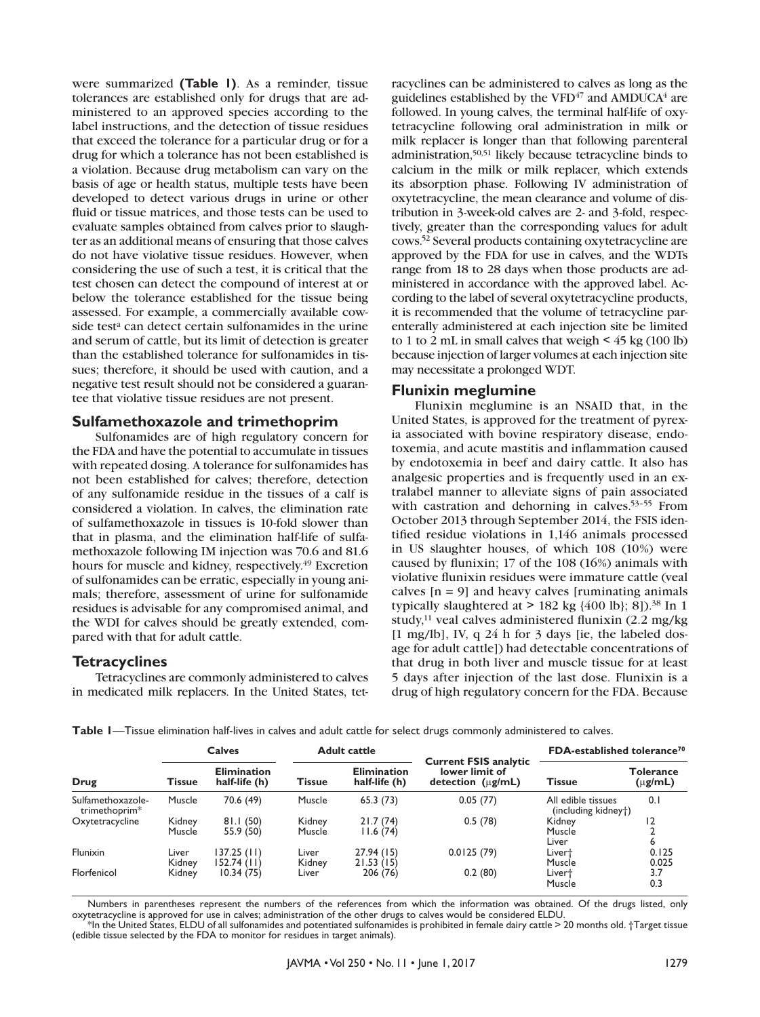were summarized **(Table 1)**. As a reminder, tissue tolerances are established only for drugs that are administered to an approved species according to the label instructions, and the detection of tissue residues that exceed the tolerance for a particular drug or for a drug for which a tolerance has not been established is a violation. Because drug metabolism can vary on the basis of age or health status, multiple tests have been developed to detect various drugs in urine or other fluid or tissue matrices, and those tests can be used to evaluate samples obtained from calves prior to slaughter as an additional means of ensuring that those calves do not have violative tissue residues. However, when considering the use of such a test, it is critical that the test chosen can detect the compound of interest at or below the tolerance established for the tissue being assessed. For example, a commercially available cowside test<sup>a</sup> can detect certain sulfonamides in the urine and serum of cattle, but its limit of detection is greater than the established tolerance for sulfonamides in tissues; therefore, it should be used with caution, and a negative test result should not be considered a guarantee that violative tissue residues are not present.

#### **Sulfamethoxazole and trimethoprim**

Sulfonamides are of high regulatory concern for the FDA and have the potential to accumulate in tissues with repeated dosing. A tolerance for sulfonamides has not been established for calves; therefore, detection of any sulfonamide residue in the tissues of a calf is considered a violation. In calves, the elimination rate of sulfamethoxazole in tissues is 10-fold slower than that in plasma, and the elimination half-life of sulfamethoxazole following IM injection was 70.6 and 81.6 hours for muscle and kidney, respectively.<sup>49</sup> Excretion of sulfonamides can be erratic, especially in young animals; therefore, assessment of urine for sulfonamide residues is advisable for any compromised animal, and the WDI for calves should be greatly extended, compared with that for adult cattle.

#### **Tetracyclines**

Tetracyclines are commonly administered to calves in medicated milk replacers. In the United States, tet-

racyclines can be administered to calves as long as the guidelines established by the VFD $47$  and AMDUCA $4$  are followed. In young calves, the terminal half-life of oxytetracycline following oral administration in milk or milk replacer is longer than that following parenteral administration,50,51 likely because tetracycline binds to calcium in the milk or milk replacer, which extends its absorption phase. Following IV administration of oxytetracycline, the mean clearance and volume of distribution in 3-week-old calves are 2- and 3-fold, respectively, greater than the corresponding values for adult cows.52 Several products containing oxytetracycline are approved by the FDA for use in calves, and the WDTs range from 18 to 28 days when those products are administered in accordance with the approved label. According to the label of several oxytetracycline products, it is recommended that the volume of tetracycline parenterally administered at each injection site be limited to 1 to 2 mL in small calves that weigh  $\leq$  45 kg (100 lb) because injection of larger volumes at each injection site may necessitate a prolonged WDT.

#### **Flunixin meglumine**

Flunixin meglumine is an NSAID that, in the United States, is approved for the treatment of pyrexia associated with bovine respiratory disease, endotoxemia, and acute mastitis and inflammation caused by endotoxemia in beef and dairy cattle. It also has analgesic properties and is frequently used in an extralabel manner to alleviate signs of pain associated with castration and dehorning in calves.<sup>53-55</sup> From October 2013 through September 2014, the FSIS identified residue violations in 1,146 animals processed in US slaughter houses, of which 108 (10%) were caused by flunixin; 17 of the 108 (16%) animals with violative flunixin residues were immature cattle (veal calves  $[n = 9]$  and heavy calves [ruminating animals typically slaughtered at  $> 182$  kg  $\{400$  lb}; 8]).<sup>38</sup> In 1 study,<sup>11</sup> veal calves administered flunixin  $(2.2 \text{ mg/kg})$ [1 mg/lb], IV, q 24 h for 3 days [ie, the labeled dosage for adult cattle]) had detectable concentrations of that drug in both liver and muscle tissue for at least 5 days after injection of the last dose. Flunixin is a drug of high regulatory concern for the FDA. Because

| Table I-Tissue elimination half-lives in calves and adult cattle for select drugs commonly administered to calves. |  |  |  |  |
|--------------------------------------------------------------------------------------------------------------------|--|--|--|--|
|--------------------------------------------------------------------------------------------------------------------|--|--|--|--|

| Drug                                           | <b>Calves</b>    |                                     | <b>Adult cattle</b> |                                     | <b>Current FSIS analytic</b>             | FDA-established tolerance <sup>70</sup>   |                           |
|------------------------------------------------|------------------|-------------------------------------|---------------------|-------------------------------------|------------------------------------------|-------------------------------------------|---------------------------|
|                                                | <b>Tissue</b>    | <b>Elimination</b><br>half-life (h) | <b>Tissue</b>       | <b>Elimination</b><br>half-life (h) | lower limit of<br>detection $(\mu g/mL)$ | <b>Tissue</b>                             | Tolerance<br>$(\mu g/mL)$ |
| Sulfamethoxazole-<br>trimethoprim <sup>*</sup> | Muscle           | 70.6 (49)                           | Muscle              | 65.3(73)                            | 0.05(77)                                 | All edible tissues<br>(including kidney†) | 0.1                       |
| Oxytetracycline                                | Kidney<br>Muscle | 81.1(50)<br>55.9 (50)               | Kidney<br>Muscle    | 21.7(74)<br>11.6(74)                | 0.5(78)                                  | Kidney<br>Muscle<br>Liver                 | 12<br>6                   |
| Flunixin                                       | Liver<br>Kidney  | $37.25$ (11)<br>152.74 (11)         | Liver<br>Kidney     | 27.94(15)<br>21.53(15)              | 0.0125(79)                               | Livert<br>Muscle                          | 0.125<br>0.025            |
| Florfenicol                                    | Kidney           | 10.34(75)                           | Liver               | 206 (76)                            | 0.2(80)                                  | Livert<br>Muscle                          | 3.7<br>0.3                |

Numbers in parentheses represent the numbers of the references from which the information was obtained. Of the drugs listed, only oxytetracycline is approved for use in calves; administration of the other drugs to calves would be considered ELDU.

\*In the United States, ELDU of all sulfonamides and potentiated sulfonamides is prohibited in female dairy cattle > 20 months old. †Target tissue (edible tissue selected by the FDA to monitor for residues in target animals).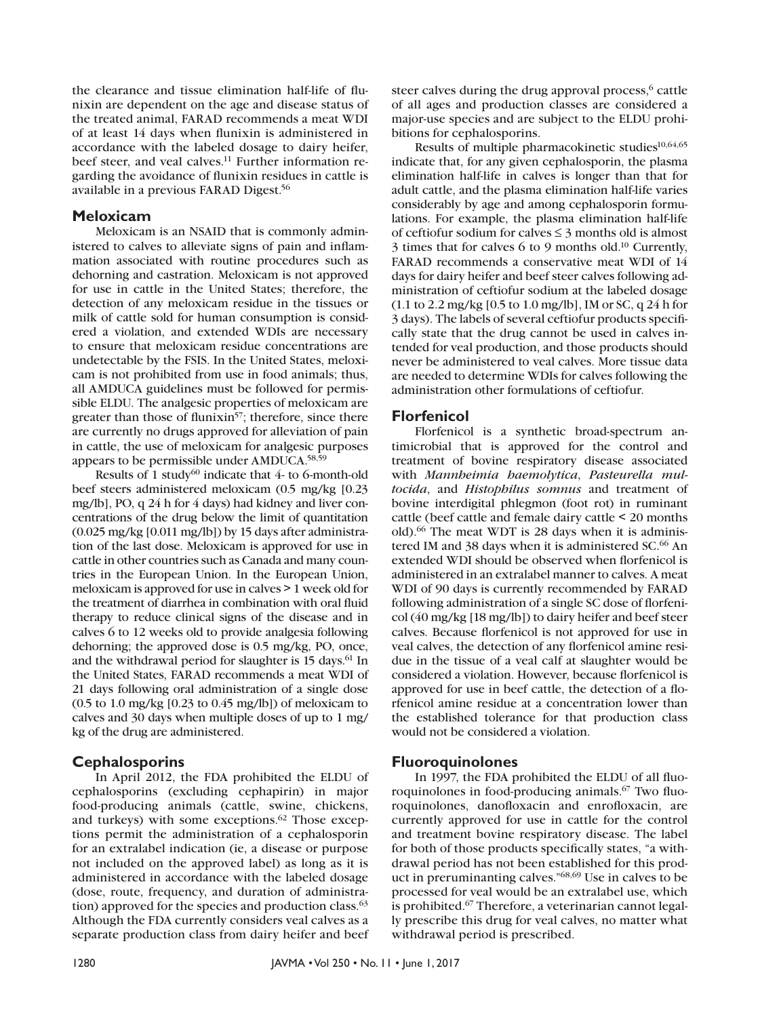the clearance and tissue elimination half-life of flunixin are dependent on the age and disease status of the treated animal, FARAD recommends a meat WDI of at least 14 days when flunixin is administered in accordance with the labeled dosage to dairy heifer, beef steer, and veal calves.<sup>11</sup> Further information regarding the avoidance of flunixin residues in cattle is available in a previous FARAD Digest.56

#### **Meloxicam**

Meloxicam is an NSAID that is commonly administered to calves to alleviate signs of pain and inflammation associated with routine procedures such as dehorning and castration. Meloxicam is not approved for use in cattle in the United States; therefore, the detection of any meloxicam residue in the tissues or milk of cattle sold for human consumption is considered a violation, and extended WDIs are necessary to ensure that meloxicam residue concentrations are undetectable by the FSIS. In the United States, meloxicam is not prohibited from use in food animals; thus, all AMDUCA guidelines must be followed for permissible ELDU. The analgesic properties of meloxicam are greater than those of flunixin<sup>57</sup>; therefore, since there are currently no drugs approved for alleviation of pain in cattle, the use of meloxicam for analgesic purposes appears to be permissible under AMDUCA.58,59

Results of 1 study<sup>60</sup> indicate that 4- to 6-month-old beef steers administered meloxicam (0.5 mg/kg [0.23 mg/lb], PO, q 24 h for 4 days) had kidney and liver concentrations of the drug below the limit of quantitation (0.025 mg/kg [0.011 mg/lb]) by 15 days after administration of the last dose. Meloxicam is approved for use in cattle in other countries such as Canada and many countries in the European Union. In the European Union, meloxicam is approved for use in calves > 1 week old for the treatment of diarrhea in combination with oral fluid therapy to reduce clinical signs of the disease and in calves 6 to 12 weeks old to provide analgesia following dehorning; the approved dose is 0.5 mg/kg, PO, once, and the withdrawal period for slaughter is 15 days.<sup>61</sup> In the United States, FARAD recommends a meat WDI of 21 days following oral administration of a single dose (0.5 to 1.0 mg/kg [0.23 to 0.45 mg/lb]) of meloxicam to calves and 30 days when multiple doses of up to 1 mg/ kg of the drug are administered.

### **Cephalosporins**

In April 2012, the FDA prohibited the ELDU of cephalosporins (excluding cephapirin) in major food-producing animals (cattle, swine, chickens, and turkeys) with some exceptions.<sup>62</sup> Those exceptions permit the administration of a cephalosporin for an extralabel indication (ie, a disease or purpose not included on the approved label) as long as it is administered in accordance with the labeled dosage (dose, route, frequency, and duration of administration) approved for the species and production class.<sup>63</sup> Although the FDA currently considers veal calves as a separate production class from dairy heifer and beef steer calves during the drug approval process,<sup>6</sup> cattle of all ages and production classes are considered a major-use species and are subject to the ELDU prohibitions for cephalosporins.

Results of multiple pharmacokinetic studies<sup>10,64,65</sup> indicate that, for any given cephalosporin, the plasma elimination half-life in calves is longer than that for adult cattle, and the plasma elimination half-life varies considerably by age and among cephalosporin formulations. For example, the plasma elimination half-life of ceftiofur sodium for calves  $\leq$  3 months old is almost 3 times that for calves 6 to 9 months old.10 Currently, FARAD recommends a conservative meat WDI of 14 days for dairy heifer and beef steer calves following administration of ceftiofur sodium at the labeled dosage (1.1 to 2.2 mg/kg [0.5 to 1.0 mg/lb], IM or SC, q 24 h for 3 days). The labels of several ceftiofur products specifically state that the drug cannot be used in calves intended for veal production, and those products should never be administered to veal calves. More tissue data are needed to determine WDIs for calves following the administration other formulations of ceftiofur.

### **Florfenicol**

Florfenicol is a synthetic broad-spectrum antimicrobial that is approved for the control and treatment of bovine respiratory disease associated with *Mannheimia haemolytica*, *Pasteurella multocida*, and *Histophilus somnus* and treatment of bovine interdigital phlegmon (foot rot) in ruminant cattle (beef cattle and female dairy cattle < 20 months old).66 The meat WDT is 28 days when it is administered IM and 38 days when it is administered SC.<sup>66</sup> An extended WDI should be observed when florfenicol is administered in an extralabel manner to calves. A meat WDI of 90 days is currently recommended by FARAD following administration of a single SC dose of florfenicol (40 mg/kg [18 mg/lb]) to dairy heifer and beef steer calves. Because florfenicol is not approved for use in veal calves, the detection of any florfenicol amine residue in the tissue of a veal calf at slaughter would be considered a violation. However, because florfenicol is approved for use in beef cattle, the detection of a florfenicol amine residue at a concentration lower than the established tolerance for that production class would not be considered a violation.

#### **Fluoroquinolones**

In 1997, the FDA prohibited the ELDU of all fluoroquinolones in food-producing animals.<sup>67</sup> Two fluoroquinolones, danofloxacin and enrofloxacin, are currently approved for use in cattle for the control and treatment bovine respiratory disease. The label for both of those products specifically states, "a withdrawal period has not been established for this product in preruminanting calves."68,69 Use in calves to be processed for veal would be an extralabel use, which is prohibited.67 Therefore, a veterinarian cannot legally prescribe this drug for veal calves, no matter what withdrawal period is prescribed.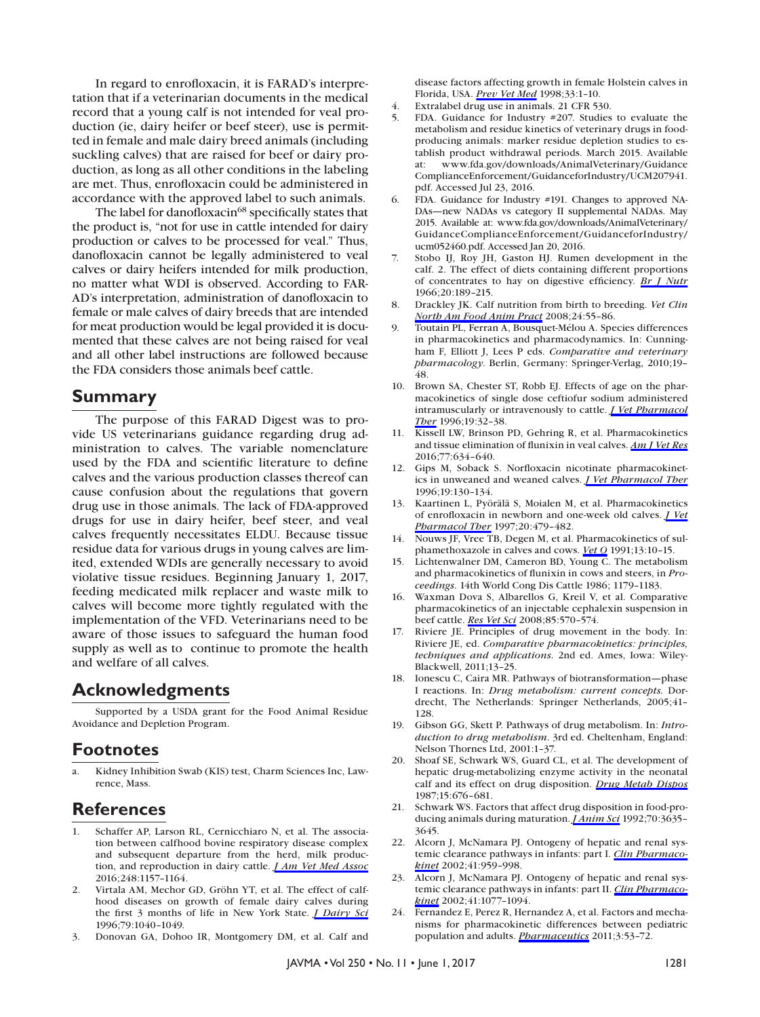In regard to enrofloxacin, it is FARAD's interpretation that if a veterinarian documents in the medical record that a young calf is not intended for veal production (ie, dairy heifer or beef steer), use is permitted in female and male dairy breed animals (including suckling calves) that are raised for beef or dairy production, as long as all other conditions in the labeling are met. Thus, enrofloxacin could be administered in accordance with the approved label to such animals.

The label for danofloxacin<sup>68</sup> specifically states that the product is, "not for use in cattle intended for dairy production or calves to be processed for veal." Thus, danofloxacin cannot be legally administered to veal calves or dairy heifers intended for milk production, no matter what WDI is observed. According to FAR-AD's interpretation, administration of danofloxacin to female or male calves of dairy breeds that are intended for meat production would be legal provided it is documented that these calves are not being raised for veal and all other label instructions are followed because the FDA considers those animals beef cattle.

### **Summary**

The purpose of this FARAD Digest was to provide US veterinarians guidance regarding drug administration to calves. The variable nomenclature used by the FDA and scientific literature to define calves and the various production classes thereof can cause confusion about the regulations that govern drug use in those animals. The lack of FDA-approved drugs for use in dairy heifer, beef steer, and veal calves frequently necessitates ELDU. Because tissue residue data for various drugs in young calves are limited, extended WDIs are generally necessary to avoid violative tissue residues. Beginning January 1, 2017, feeding medicated milk replacer and waste milk to calves will become more tightly regulated with the implementation of the VFD. Veterinarians need to be aware of those issues to safeguard the human food supply as well as to continue to promote the health and welfare of all calves.

## **Acknowledgments**

Supported by a USDA grant for the Food Animal Residue Avoidance and Depletion Program.

## **Footnotes**

Kidney Inhibition Swab (KIS) test, Charm Sciences Inc, Lawrence, Mass.

## **References**

- 1. Schaffer AP, Larson RL, Cernicchiaro N, et al. The association between calfhood bovine respiratory disease complex and subsequent departure from the herd, milk production, and reproduction in dairy cattle. *[J Am Vet Med Assoc](http://avmajournals.avma.org/action/showLinks?doi=10.2460%2Fjavma.250.11.1275&system=10.2460%2Fjavma.248.10.1157&citationId=p_2)* 2016;248:1157–1164.
- 2. Virtala AM, Mechor GD, Gröhn YT, et al. The effect of calfhood diseases on growth of female dairy calves during the first 3 months of life in New York State. *[J Dairy Sci](http://avmajournals.avma.org/action/showLinks?doi=10.2460%2Fjavma.250.11.1275&pmid=8827469&crossref=10.3168%2Fjds.S0022-0302%2896%2976457-3&citationId=p_4)* 1996;79:1040–1049.
- 3. Donovan GA, Dohoo IR, Montgomery DM, et al. Calf and

disease factors affecting growth in female Holstein calves in Florida, USA. *[Prev Vet Med](http://avmajournals.avma.org/action/showLinks?doi=10.2460%2Fjavma.250.11.1275&pmid=9500160&crossref=10.1016%2FS0167-5877%2897%2900059-7&citationId=p_5)* 1998;33:1–10.

- 4. Extralabel drug use in animals. 21 CFR 530.
- 5. FDA. Guidance for Industry #207. Studies to evaluate the metabolism and residue kinetics of veterinary drugs in foodproducing animals: marker residue depletion studies to establish product withdrawal periods. March 2015. Available at: www.fda.gov/downloads/AnimalVeterinary/Guidance ComplianceEnforcement/GuidanceforIndustry/UCM207941. pdf. Accessed Jul 23, 2016.
- 6. FDA. Guidance for Industry #191. Changes to approved NA-DAs—new NADAs vs category II supplemental NADAs. May 2015. Available at: www.fda.gov/downloads/AnimalVeterinary/ GuidanceComplianceEnforcement/GuidanceforIndustry/ ucm052460.pdf. Accessed Jan 20, 2016.
- 7. Stobo IJ, Roy JH, Gaston HJ. Rumen development in the calf. 2. The effect of diets containing different proportions of concentrates to hay on digestive efficiency. *[Br J Nutr](http://avmajournals.avma.org/action/showLinks?doi=10.2460%2Fjavma.250.11.1275&pmid=5938700&crossref=10.1079%2FBJN19660022&citationId=p_12)* 1966;20:189–215.
- 8. Drackley JK. Calf nutrition from birth to breeding. *Vet Clin [North Am Food Anim Pract](http://avmajournals.avma.org/action/showLinks?doi=10.2460%2Fjavma.250.11.1275&pmid=18299032&crossref=10.1016%2Fj.cvfa.2008.01.001&citationId=p_14)* 2008;24:55–86.
- 9. Toutain PL, Ferran A, Bousquet-Mélou A. Species differences in pharmacokinetics and pharmacodynamics. In: Cunningham F, Elliott J, Lees P eds. *Comparative and veterinary pharmacology*. Berlin, Germany: Springer-Verlag, 2010;19– 48.
- 10. Brown SA, Chester ST, Robb EJ. Effects of age on the pharmacokinetics of single dose ceftiofur sodium administered intramuscularly or intravenously to cattle. *[J Vet Pharmacol](http://avmajournals.avma.org/action/showLinks?doi=10.2460%2Fjavma.250.11.1275&pmid=8992023&crossref=10.1111%2Fj.1365-2885.1996.tb00005.x&citationId=p_18)  [Ther](http://avmajournals.avma.org/action/showLinks?doi=10.2460%2Fjavma.250.11.1275&pmid=8992023&crossref=10.1111%2Fj.1365-2885.1996.tb00005.x&citationId=p_18)* 1996;19:32–38.
- 11. Kissell LW, Brinson PD, Gehring R, et al. Pharmacokinetics and tissue elimination of flunixin in veal calves. *[Am J Vet Res](http://avmajournals.avma.org/action/showLinks?doi=10.2460%2Fjavma.250.11.1275&system=10.2460%2Fajvr.77.6.634&citationId=p_20)* 2016;77:634–640.
- 12. Gips M, Soback S. Norfloxacin nicotinate pharmacokinetics in unweaned and weaned calves. *[J Vet Pharmacol Ther](http://avmajournals.avma.org/action/showLinks?doi=10.2460%2Fjavma.250.11.1275&pmid=8735421&crossref=10.1111%2Fj.1365-2885.1996.tb00025.x&citationId=p_22)* 1996;19:130–134.
- 13. Kaartinen L, Pyörälä S, Moialen M, et al. Pharmacokinetics of enrofloxacin in newborn and one-week old calves. *[J Vet](http://avmajournals.avma.org/action/showLinks?doi=10.2460%2Fjavma.250.11.1275&pmid=9430772&crossref=10.1046%2Fj.1365-2885.1997.00100.x&citationId=p_24)  [Pharmacol Ther](http://avmajournals.avma.org/action/showLinks?doi=10.2460%2Fjavma.250.11.1275&pmid=9430772&crossref=10.1046%2Fj.1365-2885.1997.00100.x&citationId=p_24)* 1997;20:479–482.
- 14. Nouws JF, Vree TB, Degen M, et al. Pharmacokinetics of sulphamethoxazole in calves and cows. *[Vet Q](http://avmajournals.avma.org/action/showLinks?doi=10.2460%2Fjavma.250.11.1275&pmid=2021049&crossref=10.1080%2F01652176.1991.9694279&citationId=p_26)* 1991;13:10–15.
- 15. Lichtenwalner DM, Cameron BD, Young C. The metabolism and pharmacokinetics of flunixin in cows and steers, in *Proceedings*. 14th World Cong Dis Cattle 1986; 1179–1183.
- 16. Waxman Dova S, Albarellos G, Kreil V, et al. Comparative pharmacokinetics of an injectable cephalexin suspension in beef cattle. *[Res Vet Sci](http://avmajournals.avma.org/action/showLinks?doi=10.2460%2Fjavma.250.11.1275&pmid=18433809&crossref=10.1016%2Fj.rvsc.2008.02.012&citationId=p_30)* 2008;85:570–574.
- 17. Riviere JE. Principles of drug movement in the body. In: Riviere JE, ed. *Comparative pharmacokinetics: principles, techniques and applications*. 2nd ed. Ames, Iowa: Wiley-Blackwell, 2011;13–25.
- 18. Ionescu C, Caira MR. Pathways of biotransformation—phase I reactions. In: *Drug metabolism: current concepts.* Dordrecht, The Netherlands: Springer Netherlands, 2005;41– 128.
- 19. Gibson GG, Skett P. Pathways of drug metabolism. In: *Introduction to drug metabolism*. 3rd ed. Cheltenham, England: Nelson Thornes Ltd, 2001:1–37.
- 20. Shoaf SE, Schwark WS, Guard CL, et al. The development of hepatic drug-metabolizing enzyme activity in the neonatal calf and its effect on drug disposition. *[Drug Metab Dispos](http://avmajournals.avma.org/action/showLinks?doi=10.2460%2Fjavma.250.11.1275&pmid=2891486&citationId=p_38)* 1987;15:676–681.
- 21. Schwark WS. Factors that affect drug disposition in food-producing animals during maturation. *[J Anim Sci](http://avmajournals.avma.org/action/showLinks?doi=10.2460%2Fjavma.250.11.1275&pmid=1459924&crossref=10.2527%2F1992.70113635x&citationId=p_40)* 1992;70:3635– 3645.
- 22. Alcorn J, McNamara PJ. Ontogeny of hepatic and renal systemic clearance pathways in infants: part I. *[Clin Pharmaco](http://avmajournals.avma.org/action/showLinks?doi=10.2460%2Fjavma.250.11.1275&pmid=12222995&crossref=10.2165%2F00003088-200241120-00003&citationId=p_42)[kinet](http://avmajournals.avma.org/action/showLinks?doi=10.2460%2Fjavma.250.11.1275&pmid=12222995&crossref=10.2165%2F00003088-200241120-00003&citationId=p_42)* 2002;41:959–998.
- 23. Alcorn J, McNamara PJ. Ontogeny of hepatic and renal systemic clearance pathways in infants: part II. *[Clin Pharmaco](http://avmajournals.avma.org/action/showLinks?doi=10.2460%2Fjavma.250.11.1275&pmid=12403644&crossref=10.2165%2F00003088-200241130-00005&citationId=p_44)[kinet](http://avmajournals.avma.org/action/showLinks?doi=10.2460%2Fjavma.250.11.1275&pmid=12403644&crossref=10.2165%2F00003088-200241130-00005&citationId=p_44)* 2002;41:1077–1094.
- 24. Fernandez E, Perez R, Hernandez A, et al. Factors and mechanisms for pharmacokinetic differences between pediatric population and adults. *[Pharmaceutics](http://avmajournals.avma.org/action/showLinks?doi=10.2460%2Fjavma.250.11.1275&pmid=24310425&crossref=10.3390%2Fpharmaceutics3010053&citationId=p_46)* 2011;3:53–72.